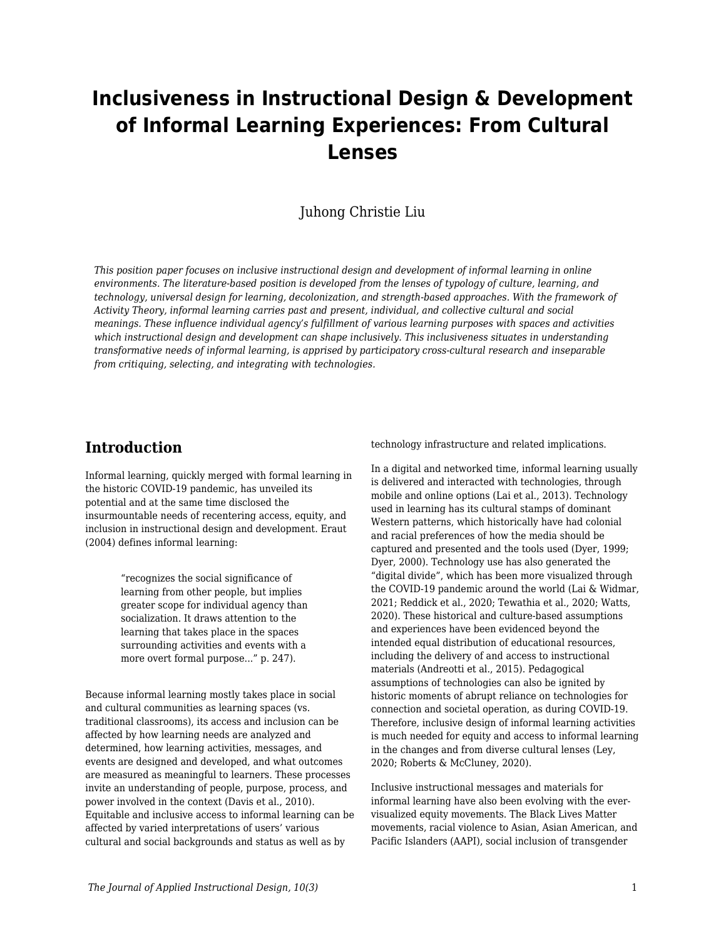# **Inclusiveness in Instructional Design & Development of Informal Learning Experiences: From Cultural Lenses**

#### Juhong Christie Liu

*This position paper focuses on inclusive instructional design and development of informal learning in online environments. The literature-based position is developed from the lenses of typology of culture, learning, and technology, universal design for learning, decolonization, and strength-based approaches. With the framework of Activity Theory, informal learning carries past and present, individual, and collective cultural and social meanings. These influence individual agency's fulfillment of various learning purposes with spaces and activities which instructional design and development can shape inclusively. This inclusiveness situates in understanding transformative needs of informal learning, is apprised by participatory cross-cultural research and inseparable from critiquing, selecting, and integrating with technologies.*

### **Introduction**

Informal learning, quickly merged with formal learning in the historic COVID-19 pandemic, has unveiled its potential and at the same time disclosed the insurmountable needs of recentering access, equity, and inclusion in instructional design and development. Eraut (2004) defines informal learning:

> "recognizes the social significance of learning from other people, but implies greater scope for individual agency than socialization. It draws attention to the learning that takes place in the spaces surrounding activities and events with a more overt formal purpose..." p. 247).

Because informal learning mostly takes place in social and cultural communities as learning spaces (vs. traditional classrooms), its access and inclusion can be affected by how learning needs are analyzed and determined, how learning activities, messages, and events are designed and developed, and what outcomes are measured as meaningful to learners. These processes invite an understanding of people, purpose, process, and power involved in the context (Davis et al., 2010). Equitable and inclusive access to informal learning can be affected by varied interpretations of users' various cultural and social backgrounds and status as well as by

technology infrastructure and related implications.

In a digital and networked time, informal learning usually is delivered and interacted with technologies, through mobile and online options (Lai et al., 2013). Technology used in learning has its cultural stamps of dominant Western patterns, which historically have had colonial and racial preferences of how the media should be captured and presented and the tools used (Dyer, 1999; Dyer, 2000). Technology use has also generated the "digital divide", which has been more visualized through the COVID-19 pandemic around the world (Lai & Widmar, 2021; Reddick et al., 2020; Tewathia et al., 2020; Watts, 2020). These historical and culture-based assumptions and experiences have been evidenced beyond the intended equal distribution of educational resources, including the delivery of and access to instructional materials (Andreotti et al., 2015). Pedagogical assumptions of technologies can also be ignited by historic moments of abrupt reliance on technologies for connection and societal operation, as during COVID-19. Therefore, inclusive design of informal learning activities is much needed for equity and access to informal learning in the changes and from diverse cultural lenses (Ley, 2020; Roberts & McCluney, 2020).

Inclusive instructional messages and materials for informal learning have also been evolving with the evervisualized equity movements. The Black Lives Matter movements, racial violence to Asian, Asian American, and Pacific Islanders (AAPI), social inclusion of transgender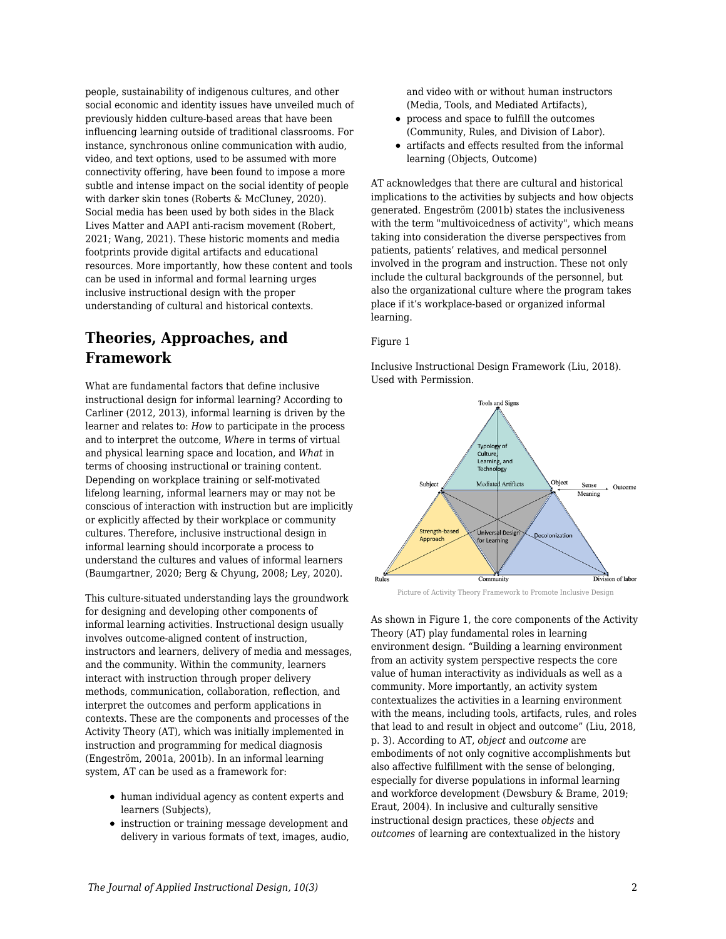people, sustainability of indigenous cultures, and other social economic and identity issues have unveiled much of previously hidden culture-based areas that have been influencing learning outside of traditional classrooms. For instance, synchronous online communication with audio, video, and text options, used to be assumed with more connectivity offering, have been found to impose a more subtle and intense impact on the social identity of people with darker skin tones (Roberts & McCluney, 2020). Social media has been used by both sides in the Black Lives Matter and AAPI anti-racism movement (Robert, 2021; Wang, 2021). These historic moments and media footprints provide digital artifacts and educational resources. More importantly, how these content and tools can be used in informal and formal learning urges inclusive instructional design with the proper understanding of cultural and historical contexts.

# **Theories, Approaches, and Framework**

What are fundamental factors that define inclusive instructional design for informal learning? According to Carliner (2012, 2013), informal learning is driven by the learner and relates to: *How* to participate in the process and to interpret the outcome, *Wher*e in terms of virtual and physical learning space and location, and *What* in terms of choosing instructional or training content. Depending on workplace training or self-motivated lifelong learning, informal learners may or may not be conscious of interaction with instruction but are implicitly or explicitly affected by their workplace or community cultures. Therefore, inclusive instructional design in informal learning should incorporate a process to understand the cultures and values of informal learners (Baumgartner, 2020; Berg & Chyung, 2008; Ley, 2020).

This culture-situated understanding lays the groundwork for designing and developing other components of informal learning activities. Instructional design usually involves outcome-aligned content of instruction, instructors and learners, delivery of media and messages, and the community. Within the community, learners interact with instruction through proper delivery methods, communication, collaboration, reflection, and interpret the outcomes and perform applications in contexts. These are the components and processes of the Activity Theory (AT), which was initially implemented in instruction and programming for medical diagnosis (Engeström, 2001a, 2001b). In an informal learning system, AT can be used as a framework for:

- human individual agency as content experts and learners (Subjects),
- $\bullet$  instruction or training message development and delivery in various formats of text, images, audio,

and video with or without human instructors (Media, Tools, and Mediated Artifacts),

- process and space to fulfill the outcomes (Community, Rules, and Division of Labor).
- artifacts and effects resulted from the informal learning (Objects, Outcome)

AT acknowledges that there are cultural and historical implications to the activities by subjects and how objects generated. Engeström (2001b) states the inclusiveness with the term "multivoicedness of activity", which means taking into consideration the diverse perspectives from patients, patients' relatives, and medical personnel involved in the program and instruction. These not only include the cultural backgrounds of the personnel, but also the organizational culture where the program takes place if it's workplace-based or organized informal learning.

#### Figure 1

Inclusive Instructional Design Framework (Liu, 2018). Used with Permission.



Picture of Activity Theory Framework to Promote Inclusive Design

As shown in Figure 1, the core components of the Activity Theory (AT) play fundamental roles in learning environment design. "Building a learning environment from an activity system perspective respects the core value of human interactivity as individuals as well as a community. More importantly, an activity system contextualizes the activities in a learning environment with the means, including tools, artifacts, rules, and roles that lead to and result in object and outcome" (Liu, 2018, p. 3). According to AT, *object* and *outcome* are embodiments of not only cognitive accomplishments but also affective fulfillment with the sense of belonging, especially for diverse populations in informal learning and workforce development (Dewsbury & Brame, 2019; Eraut, 2004). In inclusive and culturally sensitive instructional design practices, these *objects* and *outcomes* of learning are contextualized in the history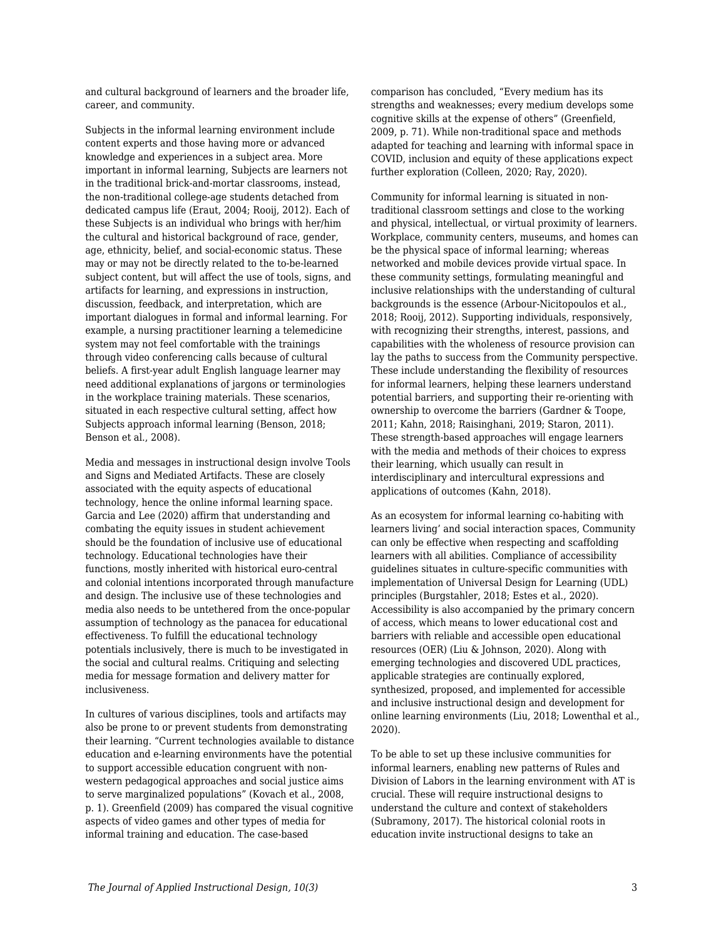and cultural background of learners and the broader life, career, and community.

Subjects in the informal learning environment include content experts and those having more or advanced knowledge and experiences in a subject area. More important in informal learning, Subjects are learners not in the traditional brick-and-mortar classrooms, instead, the non-traditional college-age students detached from dedicated campus life (Eraut, 2004; Rooij, 2012). Each of these Subjects is an individual who brings with her/him the cultural and historical background of race, gender, age, ethnicity, belief, and social-economic status. These may or may not be directly related to the to-be-learned subject content, but will affect the use of tools, signs, and artifacts for learning, and expressions in instruction, discussion, feedback, and interpretation, which are important dialogues in formal and informal learning. For example, a nursing practitioner learning a telemedicine system may not feel comfortable with the trainings through video conferencing calls because of cultural beliefs. A first-year adult English language learner may need additional explanations of jargons or terminologies in the workplace training materials. These scenarios, situated in each respective cultural setting, affect how Subjects approach informal learning (Benson, 2018; Benson et al., 2008).

Media and messages in instructional design involve Tools and Signs and Mediated Artifacts. These are closely associated with the equity aspects of educational technology, hence the online informal learning space. Garcia and Lee (2020) affirm that understanding and combating the equity issues in student achievement should be the foundation of inclusive use of educational technology. Educational technologies have their functions, mostly inherited with historical euro-central and colonial intentions incorporated through manufacture and design. The inclusive use of these technologies and media also needs to be untethered from the once-popular assumption of technology as the panacea for educational effectiveness. To fulfill the educational technology potentials inclusively, there is much to be investigated in the social and cultural realms. Critiquing and selecting media for message formation and delivery matter for inclusiveness.

In cultures of various disciplines, tools and artifacts may also be prone to or prevent students from demonstrating their learning. "Current technologies available to distance education and e-learning environments have the potential to support accessible education congruent with nonwestern pedagogical approaches and social justice aims to serve marginalized populations" (Kovach et al., 2008, p. 1). Greenfield (2009) has compared the visual cognitive aspects of video games and other types of media for informal training and education. The case-based

comparison has concluded, "Every medium has its strengths and weaknesses; every medium develops some cognitive skills at the expense of others" (Greenfield, 2009, p. 71). While non-traditional space and methods adapted for teaching and learning with informal space in COVID, inclusion and equity of these applications expect further exploration (Colleen, 2020; Ray, 2020).

Community for informal learning is situated in nontraditional classroom settings and close to the working and physical, intellectual, or virtual proximity of learners. Workplace, community centers, museums, and homes can be the physical space of informal learning; whereas networked and mobile devices provide virtual space. In these community settings, formulating meaningful and inclusive relationships with the understanding of cultural backgrounds is the essence (Arbour-Nicitopoulos et al., 2018; Rooij, 2012). Supporting individuals, responsively, with recognizing their strengths, interest, passions, and capabilities with the wholeness of resource provision can lay the paths to success from the Community perspective. These include understanding the flexibility of resources for informal learners, helping these learners understand potential barriers, and supporting their re-orienting with ownership to overcome the barriers (Gardner & Toope, 2011; Kahn, 2018; Raisinghani, 2019; Staron, 2011). These strength-based approaches will engage learners with the media and methods of their choices to express their learning, which usually can result in interdisciplinary and intercultural expressions and applications of outcomes (Kahn, 2018).

As an ecosystem for informal learning co-habiting with learners living' and social interaction spaces, Community can only be effective when respecting and scaffolding learners with all abilities. Compliance of accessibility guidelines situates in culture-specific communities with implementation of Universal Design for Learning (UDL) principles (Burgstahler, 2018; Estes et al., 2020). Accessibility is also accompanied by the primary concern of access, which means to lower educational cost and barriers with reliable and accessible open educational resources (OER) (Liu & Johnson, 2020). Along with emerging technologies and discovered UDL practices, applicable strategies are continually explored, synthesized, proposed, and implemented for accessible and inclusive instructional design and development for online learning environments (Liu, 2018; Lowenthal et al., 2020).

To be able to set up these inclusive communities for informal learners, enabling new patterns of Rules and Division of Labors in the learning environment with AT is crucial. These will require instructional designs to understand the culture and context of stakeholders (Subramony, 2017). The historical colonial roots in education invite instructional designs to take an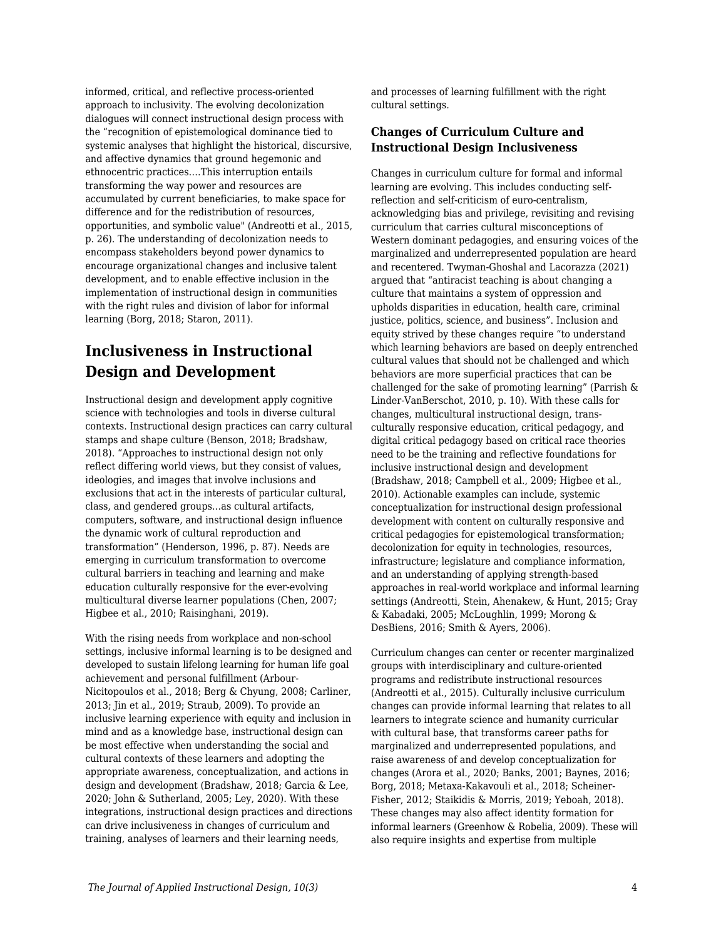informed, critical, and reflective process-oriented approach to inclusivity. The evolving decolonization dialogues will connect instructional design process with the "recognition of epistemological dominance tied to systemic analyses that highlight the historical, discursive, and affective dynamics that ground hegemonic and ethnocentric practices….This interruption entails transforming the way power and resources are accumulated by current beneficiaries, to make space for difference and for the redistribution of resources, opportunities, and symbolic value" (Andreotti et al., 2015, p. 26). The understanding of decolonization needs to encompass stakeholders beyond power dynamics to encourage organizational changes and inclusive talent development, and to enable effective inclusion in the implementation of instructional design in communities with the right rules and division of labor for informal learning (Borg, 2018; Staron, 2011).

# **Inclusiveness in Instructional Design and Development**

Instructional design and development apply cognitive science with technologies and tools in diverse cultural contexts. Instructional design practices can carry cultural stamps and shape culture (Benson, 2018; Bradshaw, 2018). "Approaches to instructional design not only reflect differing world views, but they consist of values, ideologies, and images that involve inclusions and exclusions that act in the interests of particular cultural, class, and gendered groups…as cultural artifacts, computers, software, and instructional design influence the dynamic work of cultural reproduction and transformation" (Henderson, 1996, p. 87). Needs are emerging in curriculum transformation to overcome cultural barriers in teaching and learning and make education culturally responsive for the ever-evolving multicultural diverse learner populations (Chen, 2007; Higbee et al., 2010; Raisinghani, 2019).

With the rising needs from workplace and non-school settings, inclusive informal learning is to be designed and developed to sustain lifelong learning for human life goal achievement and personal fulfillment (Arbour-Nicitopoulos et al., 2018; Berg & Chyung, 2008; Carliner, 2013; Jin et al., 2019; Straub, 2009). To provide an inclusive learning experience with equity and inclusion in mind and as a knowledge base, instructional design can be most effective when understanding the social and cultural contexts of these learners and adopting the appropriate awareness, conceptualization, and actions in design and development (Bradshaw, 2018; Garcia & Lee, 2020; John & Sutherland, 2005; Ley, 2020). With these integrations, instructional design practices and directions can drive inclusiveness in changes of curriculum and training, analyses of learners and their learning needs,

and processes of learning fulfillment with the right cultural settings.

#### **Changes of Curriculum Culture and Instructional Design Inclusiveness**

Changes in curriculum culture for formal and informal learning are evolving. This includes conducting selfreflection and self-criticism of euro-centralism, acknowledging bias and privilege, revisiting and revising curriculum that carries cultural misconceptions of Western dominant pedagogies, and ensuring voices of the marginalized and underrepresented population are heard and recentered. Twyman-Ghoshal and Lacorazza (2021) argued that "antiracist teaching is about changing a culture that maintains a system of oppression and upholds disparities in education, health care, criminal justice, politics, science, and business". Inclusion and equity strived by these changes require "to understand which learning behaviors are based on deeply entrenched cultural values that should not be challenged and which behaviors are more superficial practices that can be challenged for the sake of promoting learning" (Parrish & Linder-VanBerschot, 2010, p. 10). With these calls for changes, multicultural instructional design, transculturally responsive education, critical pedagogy, and digital critical pedagogy based on critical race theories need to be the training and reflective foundations for inclusive instructional design and development (Bradshaw, 2018; Campbell et al., 2009; Higbee et al., 2010). Actionable examples can include, systemic conceptualization for instructional design professional development with content on culturally responsive and critical pedagogies for epistemological transformation; decolonization for equity in technologies, resources, infrastructure; legislature and compliance information, and an understanding of applying strength-based approaches in real-world workplace and informal learning settings (Andreotti, Stein, Ahenakew, & Hunt, 2015; Gray & Kabadaki, 2005; McLoughlin, 1999; Morong & DesBiens, 2016; Smith & Ayers, 2006).

Curriculum changes can center or recenter marginalized groups with interdisciplinary and culture-oriented programs and redistribute instructional resources (Andreotti et al., 2015). Culturally inclusive curriculum changes can provide informal learning that relates to all learners to integrate science and humanity curricular with cultural base, that transforms career paths for marginalized and underrepresented populations, and raise awareness of and develop conceptualization for changes (Arora et al., 2020; Banks, 2001; Baynes, 2016; Borg, 2018; Metaxa-Kakavouli et al., 2018; Scheiner-Fisher, 2012; Staikidis & Morris, 2019; Yeboah, 2018). These changes may also affect identity formation for informal learners (Greenhow & Robelia, 2009). These will also require insights and expertise from multiple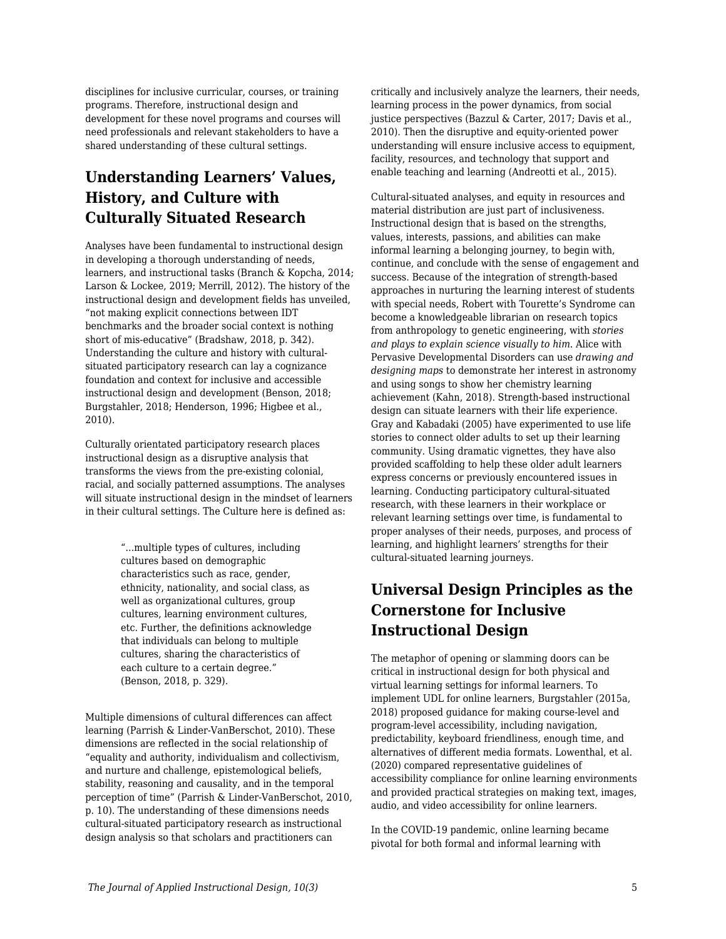disciplines for inclusive curricular, courses, or training programs. Therefore, instructional design and development for these novel programs and courses will need professionals and relevant stakeholders to have a shared understanding of these cultural settings.

# **Understanding Learners' Values, History, and Culture with Culturally Situated Research**

Analyses have been fundamental to instructional design in developing a thorough understanding of needs, learners, and instructional tasks (Branch & Kopcha, 2014; Larson & Lockee, 2019; Merrill, 2012). The history of the instructional design and development fields has unveiled, "not making explicit connections between IDT benchmarks and the broader social context is nothing short of mis-educative" (Bradshaw, 2018, p. 342). Understanding the culture and history with culturalsituated participatory research can lay a cognizance foundation and context for inclusive and accessible instructional design and development (Benson, 2018; Burgstahler, 2018; Henderson, 1996; Higbee et al., 2010).

Culturally orientated participatory research places instructional design as a disruptive analysis that transforms the views from the pre-existing colonial, racial, and socially patterned assumptions. The analyses will situate instructional design in the mindset of learners in their cultural settings. The Culture here is defined as:

> "...multiple types of cultures, including cultures based on demographic characteristics such as race, gender, ethnicity, nationality, and social class, as well as organizational cultures, group cultures, learning environment cultures, etc. Further, the definitions acknowledge that individuals can belong to multiple cultures, sharing the characteristics of each culture to a certain degree." (Benson, 2018, p. 329).

Multiple dimensions of cultural differences can affect learning (Parrish & Linder-VanBerschot, 2010). These dimensions are reflected in the social relationship of "equality and authority, individualism and collectivism, and nurture and challenge, epistemological beliefs, stability, reasoning and causality, and in the temporal perception of time" (Parrish & Linder-VanBerschot, 2010, p. 10). The understanding of these dimensions needs cultural-situated participatory research as instructional design analysis so that scholars and practitioners can

critically and inclusively analyze the learners, their needs, learning process in the power dynamics, from social justice perspectives (Bazzul & Carter, 2017; Davis et al., 2010). Then the disruptive and equity-oriented power understanding will ensure inclusive access to equipment, facility, resources, and technology that support and enable teaching and learning (Andreotti et al., 2015).

Cultural-situated analyses, and equity in resources and material distribution are just part of inclusiveness. Instructional design that is based on the strengths, values, interests, passions, and abilities can make informal learning a belonging journey, to begin with, continue, and conclude with the sense of engagement and success. Because of the integration of strength-based approaches in nurturing the learning interest of students with special needs, Robert with Tourette's Syndrome can become a knowledgeable librarian on research topics from anthropology to genetic engineering, with *stories and plays to explain science visually to him*. Alice with Pervasive Developmental Disorders can use *drawing and designing maps* to demonstrate her interest in astronomy and using songs to show her chemistry learning achievement (Kahn, 2018). Strength-based instructional design can situate learners with their life experience. Gray and Kabadaki (2005) have experimented to use life stories to connect older adults to set up their learning community. Using dramatic vignettes, they have also provided scaffolding to help these older adult learners express concerns or previously encountered issues in learning. Conducting participatory cultural-situated research, with these learners in their workplace or relevant learning settings over time, is fundamental to proper analyses of their needs, purposes, and process of learning, and highlight learners' strengths for their cultural-situated learning journeys.

# **Universal Design Principles as the Cornerstone for Inclusive Instructional Design**

The metaphor of opening or slamming doors can be critical in instructional design for both physical and virtual learning settings for informal learners. To implement UDL for online learners, Burgstahler (2015a, 2018) proposed guidance for making course-level and program-level accessibility, including navigation, predictability, keyboard friendliness, enough time, and alternatives of different media formats. Lowenthal, et al. (2020) compared representative guidelines of accessibility compliance for online learning environments and provided practical strategies on making text, images, audio, and video accessibility for online learners.

In the COVID-19 pandemic, online learning became pivotal for both formal and informal learning with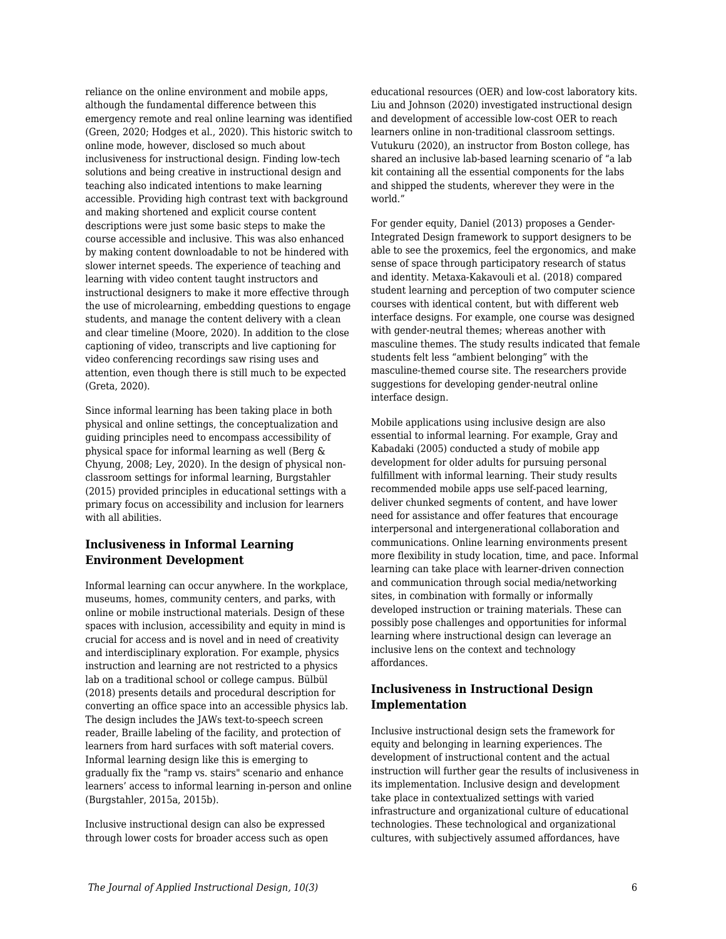reliance on the online environment and mobile apps, although the fundamental difference between this emergency remote and real online learning was identified (Green, 2020; Hodges et al., 2020). This historic switch to online mode, however, disclosed so much about inclusiveness for instructional design. Finding low-tech solutions and being creative in instructional design and teaching also indicated intentions to make learning accessible. Providing high contrast text with background and making shortened and explicit course content descriptions were just some basic steps to make the course accessible and inclusive. This was also enhanced by making content downloadable to not be hindered with slower internet speeds. The experience of teaching and learning with video content taught instructors and instructional designers to make it more effective through the use of microlearning, embedding questions to engage students, and manage the content delivery with a clean and clear timeline (Moore, 2020). In addition to the close captioning of video, transcripts and live captioning for video conferencing recordings saw rising uses and attention, even though there is still much to be expected (Greta, 2020).

Since informal learning has been taking place in both physical and online settings, the conceptualization and guiding principles need to encompass accessibility of physical space for informal learning as well (Berg & Chyung, 2008; Ley, 2020). In the design of physical nonclassroom settings for informal learning, Burgstahler (2015) provided principles in educational settings with a primary focus on accessibility and inclusion for learners with all abilities.

#### **Inclusiveness in Informal Learning Environment Development**

Informal learning can occur anywhere. In the workplace, museums, homes, community centers, and parks, with online or mobile instructional materials. Design of these spaces with inclusion, accessibility and equity in mind is crucial for access and is novel and in need of creativity and interdisciplinary exploration. For example, physics instruction and learning are not restricted to a physics lab on a traditional school or college campus. Bülbül (2018) presents details and procedural description for converting an office space into an accessible physics lab. The design includes the JAWs text-to-speech screen reader, Braille labeling of the facility, and protection of learners from hard surfaces with soft material covers. Informal learning design like this is emerging to gradually fix the "ramp vs. stairs" scenario and enhance learners' access to informal learning in-person and online (Burgstahler, 2015a, 2015b).

Inclusive instructional design can also be expressed through lower costs for broader access such as open educational resources (OER) and low-cost laboratory kits. Liu and Johnson (2020) investigated instructional design and development of accessible low-cost OER to reach learners online in non-traditional classroom settings. Vutukuru (2020), an instructor from Boston college, has shared an inclusive lab-based learning scenario of "a lab kit containing all the essential components for the labs and shipped the students, wherever they were in the world."

For gender equity, Daniel (2013) proposes a Gender-Integrated Design framework to support designers to be able to see the proxemics, feel the ergonomics, and make sense of space through participatory research of status and identity. Metaxa-Kakavouli et al. (2018) compared student learning and perception of two computer science courses with identical content, but with different web interface designs. For example, one course was designed with gender-neutral themes; whereas another with masculine themes. The study results indicated that female students felt less "ambient belonging" with the masculine-themed course site. The researchers provide suggestions for developing gender-neutral online interface design.

Mobile applications using inclusive design are also essential to informal learning. For example, Gray and Kabadaki (2005) conducted a study of mobile app development for older adults for pursuing personal fulfillment with informal learning. Their study results recommended mobile apps use self-paced learning, deliver chunked segments of content, and have lower need for assistance and offer features that encourage interpersonal and intergenerational collaboration and communications. Online learning environments present more flexibility in study location, time, and pace. Informal learning can take place with learner-driven connection and communication through social media/networking sites, in combination with formally or informally developed instruction or training materials. These can possibly pose challenges and opportunities for informal learning where instructional design can leverage an inclusive lens on the context and technology affordances.

#### **Inclusiveness in Instructional Design Implementation**

Inclusive instructional design sets the framework for equity and belonging in learning experiences. The development of instructional content and the actual instruction will further gear the results of inclusiveness in its implementation. Inclusive design and development take place in contextualized settings with varied infrastructure and organizational culture of educational technologies. These technological and organizational cultures, with subjectively assumed affordances, have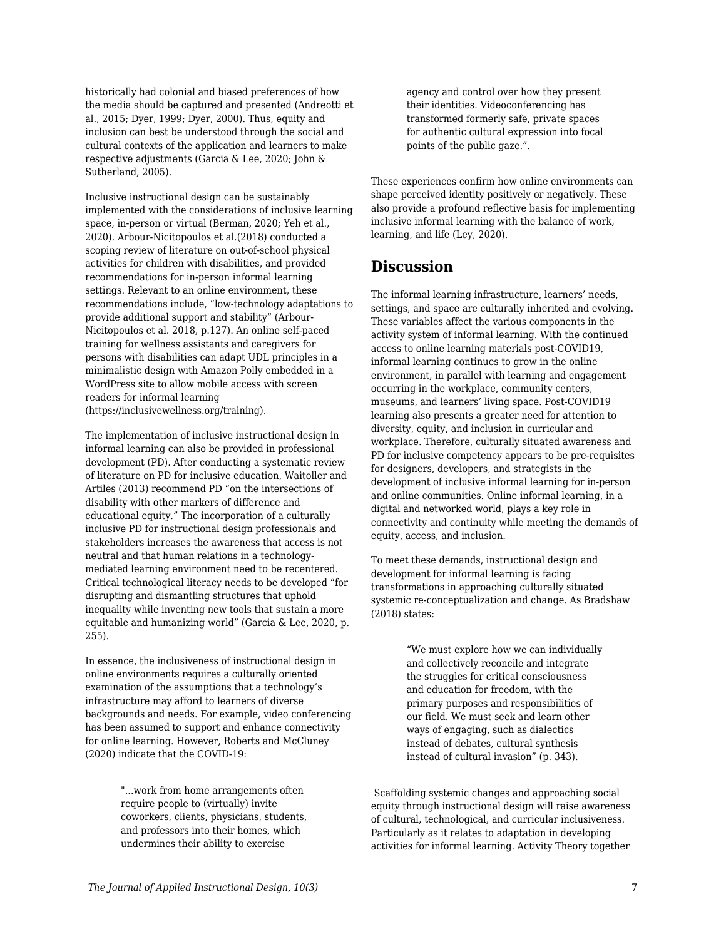historically had colonial and biased preferences of how the media should be captured and presented (Andreotti et al., 2015; Dyer, 1999; Dyer, 2000). Thus, equity and inclusion can best be understood through the social and cultural contexts of the application and learners to make respective adjustments (Garcia & Lee, 2020; John & Sutherland, 2005).

Inclusive instructional design can be sustainably implemented with the considerations of inclusive learning space, in-person or virtual (Berman, 2020; Yeh et al., 2020). Arbour-Nicitopoulos et al.(2018) conducted a scoping review of literature on out-of-school physical activities for children with disabilities, and provided recommendations for in-person informal learning settings. Relevant to an online environment, these recommendations include, "low-technology adaptations to provide additional support and stability" (Arbour-Nicitopoulos et al. 2018, p.127). An online self-paced training for wellness assistants and caregivers for persons with disabilities can adapt UDL principles in a minimalistic design with Amazon Polly embedded in a WordPress site to allow mobile access with screen readers for informal learning (https://inclusivewellness.org/training).

The implementation of inclusive instructional design in informal learning can also be provided in professional development (PD). After conducting a systematic review of literature on PD for inclusive education, Waitoller and Artiles (2013) recommend PD "on the intersections of disability with other markers of difference and educational equity." The incorporation of a culturally inclusive PD for instructional design professionals and stakeholders increases the awareness that access is not neutral and that human relations in a technologymediated learning environment need to be recentered. Critical technological literacy needs to be developed "for disrupting and dismantling structures that uphold inequality while inventing new tools that sustain a more equitable and humanizing world" (Garcia & Lee, 2020, p. 255).

In essence, the inclusiveness of instructional design in online environments requires a culturally oriented examination of the assumptions that a technology's infrastructure may afford to learners of diverse backgrounds and needs. For example, video conferencing has been assumed to support and enhance connectivity for online learning. However, Roberts and McCluney (2020) indicate that the COVID-19:

> "...work from home arrangements often require people to (virtually) invite coworkers, clients, physicians, students, and professors into their homes, which undermines their ability to exercise

agency and control over how they present their identities. Videoconferencing has transformed formerly safe, private spaces for authentic cultural expression into focal points of the public gaze.".

These experiences confirm how online environments can shape perceived identity positively or negatively. These also provide a profound reflective basis for implementing inclusive informal learning with the balance of work, learning, and life (Ley, 2020).

### **Discussion**

The informal learning infrastructure, learners' needs, settings, and space are culturally inherited and evolving. These variables affect the various components in the activity system of informal learning. With the continued access to online learning materials post-COVID19, informal learning continues to grow in the online environment, in parallel with learning and engagement occurring in the workplace, community centers, museums, and learners' living space. Post-COVID19 learning also presents a greater need for attention to diversity, equity, and inclusion in curricular and workplace. Therefore, culturally situated awareness and PD for inclusive competency appears to be pre-requisites for designers, developers, and strategists in the development of inclusive informal learning for in-person and online communities. Online informal learning, in a digital and networked world, plays a key role in connectivity and continuity while meeting the demands of equity, access, and inclusion.

To meet these demands, instructional design and development for informal learning is facing transformations in approaching culturally situated systemic re-conceptualization and change. As Bradshaw (2018) states:

> "We must explore how we can individually and collectively reconcile and integrate the struggles for critical consciousness and education for freedom, with the primary purposes and responsibilities of our field. We must seek and learn other ways of engaging, such as dialectics instead of debates, cultural synthesis instead of cultural invasion" (p. 343).

 Scaffolding systemic changes and approaching social equity through instructional design will raise awareness of cultural, technological, and curricular inclusiveness. Particularly as it relates to adaptation in developing activities for informal learning. Activity Theory together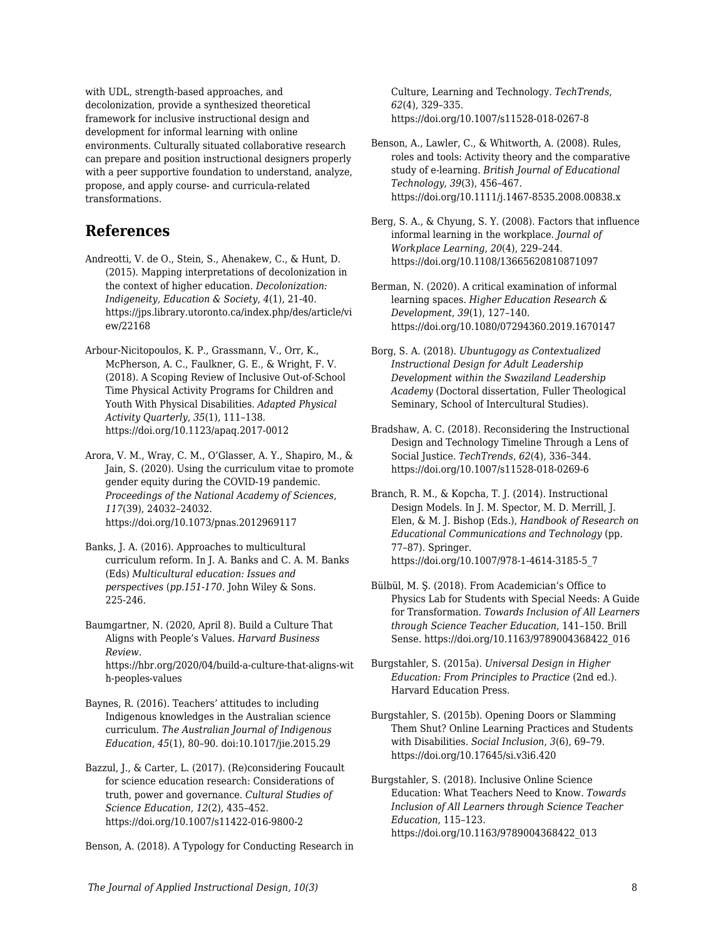with UDL, strength-based approaches, and decolonization, provide a synthesized theoretical framework for inclusive instructional design and development for informal learning with online environments. Culturally situated collaborative research can prepare and position instructional designers properly with a peer supportive foundation to understand, analyze, propose, and apply course- and curricula-related transformations.

### **References**

- Andreotti, V. de O., Stein, S., Ahenakew, C., & Hunt, D. (2015). Mapping interpretations of decolonization in the context of higher education. *Decolonization: Indigeneity, Education & Society*, *4*(1), 21-40. https://jps.library.utoronto.ca/index.php/des/article/vi ew/22168
- Arbour-Nicitopoulos, K. P., Grassmann, V., Orr, K., McPherson, A. C., Faulkner, G. E., & Wright, F. V. (2018). A Scoping Review of Inclusive Out-of-School Time Physical Activity Programs for Children and Youth With Physical Disabilities. *Adapted Physical Activity Quarterly*, *35*(1), 111–138. https://doi.org/10.1123/apaq.2017-0012
- Arora, V. M., Wray, C. M., O'Glasser, A. Y., Shapiro, M., & Jain, S. (2020). Using the curriculum vitae to promote gender equity during the COVID-19 pandemic. *Proceedings of the National Academy of Sciences*, *117*(39), 24032–24032. https://doi.org/10.1073/pnas.2012969117
- Banks, J. A. (2016). Approaches to multicultural curriculum reform. In J. A. Banks and C. A. M. Banks (Eds) *Multicultural education: Issues and perspectives* (*pp.151-170*. John Wiley & Sons. 225-246.
- Baumgartner, N. (2020, April 8). Build a Culture That Aligns with People's Values. *Harvard Business Review*. https://hbr.org/2020/04/build-a-culture-that-aligns-wit h-peoples-values

Baynes, R. (2016). Teachers' attitudes to including Indigenous knowledges in the Australian science curriculum. *The Australian Journal of Indigenous Education*, *45*(1), 80–90. doi:10.1017/jie.2015.29

Bazzul, J., & Carter, L. (2017). (Re)considering Foucault for science education research: Considerations of truth, power and governance. *Cultural Studies of Science Education*, *12*(2), 435–452. https://doi.org/10.1007/s11422-016-9800-2

Benson, A. (2018). A Typology for Conducting Research in

Culture, Learning and Technology. *TechTrends*, *62*(4), 329–335. https://doi.org/10.1007/s11528-018-0267-8

- Benson, A., Lawler, C., & Whitworth, A. (2008). Rules, roles and tools: Activity theory and the comparative study of e-learning. *British Journal of Educational Technology*, *39*(3), 456–467. https://doi.org/10.1111/j.1467-8535.2008.00838.x
- Berg, S. A., & Chyung, S. Y. (2008). Factors that influence informal learning in the workplace. *Journal of Workplace Learning*, *20*(4), 229–244. https://doi.org/10.1108/13665620810871097
- Berman, N. (2020). A critical examination of informal learning spaces. *Higher Education Research & Development*, *39*(1), 127–140. https://doi.org/10.1080/07294360.2019.1670147
- Borg, S. A. (2018). *Ubuntugogy as Contextualized Instructional Design for Adult Leadership Development within the Swaziland Leadership Academy* (Doctoral dissertation, Fuller Theological Seminary, School of Intercultural Studies).
- Bradshaw, A. C. (2018). Reconsidering the Instructional Design and Technology Timeline Through a Lens of Social Justice. *TechTrends*, *62*(4), 336–344. https://doi.org/10.1007/s11528-018-0269-6
- Branch, R. M., & Kopcha, T. J. (2014). Instructional Design Models. In J. M. Spector, M. D. Merrill, J. Elen, & M. J. Bishop (Eds.), *Handbook of Research on Educational Communications and Technology* (pp. 77–87). Springer. https://doi.org/10.1007/978-1-4614-3185-5\_7
- Bülbül, M. Ş. (2018). From Academician's Office to Physics Lab for Students with Special Needs: A Guide for Transformation. *Towards Inclusion of All Learners through Science Teacher Education*, 141–150. Brill Sense. https://doi.org/10.1163/9789004368422\_016
- Burgstahler, S. (2015a). *Universal Design in Higher Education: From Principles to Practice* (2nd ed.). Harvard Education Press.
- Burgstahler, S. (2015b). Opening Doors or Slamming Them Shut? Online Learning Practices and Students with Disabilities. *Social Inclusion*, *3*(6), 69–79. https://doi.org/10.17645/si.v3i6.420

Burgstahler, S. (2018). Inclusive Online Science Education: What Teachers Need to Know. *Towards Inclusion of All Learners through Science Teacher Education*, 115–123. https://doi.org/10.1163/9789004368422\_013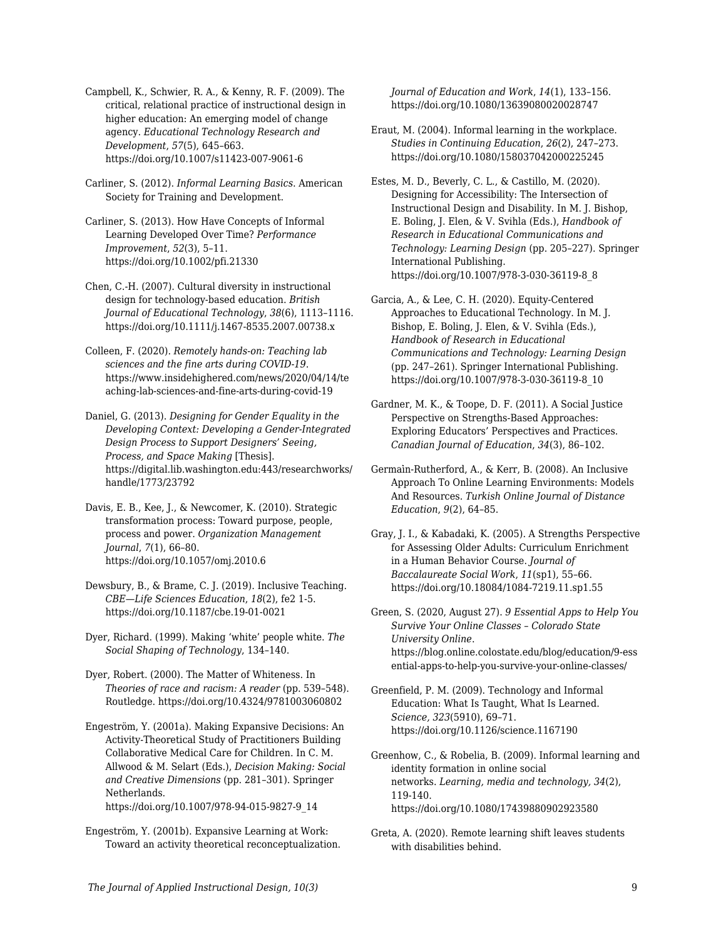Campbell, K., Schwier, R. A., & Kenny, R. F. (2009). The critical, relational practice of instructional design in higher education: An emerging model of change agency. *Educational Technology Research and Development*, *57*(5), 645–663. https://doi.org/10.1007/s11423-007-9061-6

Carliner, S. (2012). *Informal Learning Basics*. American Society for Training and Development.

Carliner, S. (2013). How Have Concepts of Informal Learning Developed Over Time? *Performance Improvement*, *52*(3), 5–11. https://doi.org/10.1002/pfi.21330

Chen, C.-H. (2007). Cultural diversity in instructional design for technology-based education. *British Journal of Educational Technology*, *38*(6), 1113–1116. https://doi.org/10.1111/j.1467-8535.2007.00738.x

Colleen, F. (2020). *Remotely hands-on: Teaching lab sciences and the fine arts during COVID-19*. https://www.insidehighered.com/news/2020/04/14/te aching-lab-sciences-and-fine-arts-during-covid-19

Daniel, G. (2013). *Designing for Gender Equality in the Developing Context: Developing a Gender-Integrated Design Process to Support Designers' Seeing, Process, and Space Making* [Thesis]. https://digital.lib.washington.edu:443/researchworks/ handle/1773/23792

Davis, E. B., Kee, J., & Newcomer, K. (2010). Strategic transformation process: Toward purpose, people, process and power. *Organization Management Journal*, *7*(1), 66–80. https://doi.org/10.1057/omj.2010.6

Dewsbury, B., & Brame, C. J. (2019). Inclusive Teaching. *CBE—Life Sciences Education*, *18*(2), fe2 1-5. https://doi.org/10.1187/cbe.19-01-0021

Dyer, Richard. (1999). Making 'white' people white. *The Social Shaping of Technology*, 134–140.

Dyer, Robert. (2000). The Matter of Whiteness. In *Theories of race and racism: A reader* (pp. 539–548). Routledge. https://doi.org/10.4324/9781003060802

Engeström, Y. (2001a). Making Expansive Decisions: An Activity-Theoretical Study of Practitioners Building Collaborative Medical Care for Children. In C. M. Allwood & M. Selart (Eds.), *Decision Making: Social and Creative Dimensions* (pp. 281–301). Springer Netherlands. https://doi.org/10.1007/978-94-015-9827-9\_14

Engeström, Y. (2001b). Expansive Learning at Work: Toward an activity theoretical reconceptualization. *Journal of Education and Work*, *14*(1), 133–156. https://doi.org/10.1080/13639080020028747

Eraut, M. (2004). Informal learning in the workplace. *Studies in Continuing Education*, *26*(2), 247–273. https://doi.org/10.1080/158037042000225245

Estes, M. D., Beverly, C. L., & Castillo, M. (2020). Designing for Accessibility: The Intersection of Instructional Design and Disability. In M. J. Bishop, E. Boling, J. Elen, & V. Svihla (Eds.), *Handbook of Research in Educational Communications and Technology: Learning Design* (pp. 205–227). Springer International Publishing. https://doi.org/10.1007/978-3-030-36119-8\_8

Garcia, A., & Lee, C. H. (2020). Equity-Centered Approaches to Educational Technology. In M. J. Bishop, E. Boling, J. Elen, & V. Svihla (Eds.), *Handbook of Research in Educational Communications and Technology: Learning Design* (pp. 247–261). Springer International Publishing. https://doi.org/10.1007/978-3-030-36119-8\_10

Gardner, M. K., & Toope, D. F. (2011). A Social Justice Perspective on Strengths-Based Approaches: Exploring Educators' Perspectives and Practices. *Canadian Journal of Education*, *34*(3), 86–102.

Germai̇n-Rutherford, A., & Kerr, B. (2008). An Inclusive Approach To Online Learning Environments: Models And Resources. *Turkish Online Journal of Distance Education*, *9*(2), 64–85.

Gray, J. I., & Kabadaki, K. (2005). A Strengths Perspective for Assessing Older Adults: Curriculum Enrichment in a Human Behavior Course. *Journal of Baccalaureate Social Work*, *11*(sp1), 55–66. https://doi.org/10.18084/1084-7219.11.sp1.55

Green, S. (2020, August 27). *9 Essential Apps to Help You Survive Your Online Classes – Colorado State University Online*. https://blog.online.colostate.edu/blog/education/9-ess ential-apps-to-help-you-survive-your-online-classes/

Greenfield, P. M. (2009). Technology and Informal Education: What Is Taught, What Is Learned. *Science, 323*(5910), 69–71. https://doi.org/10.1126/science.1167190

Greenhow, C., & Robelia, B. (2009). Informal learning and identity formation in online social networks. *Learning, media and technology, 34*(2), 119-140. https://doi.org/10.1080/17439880902923580

Greta, A. (2020). Remote learning shift leaves students with disabilities behind.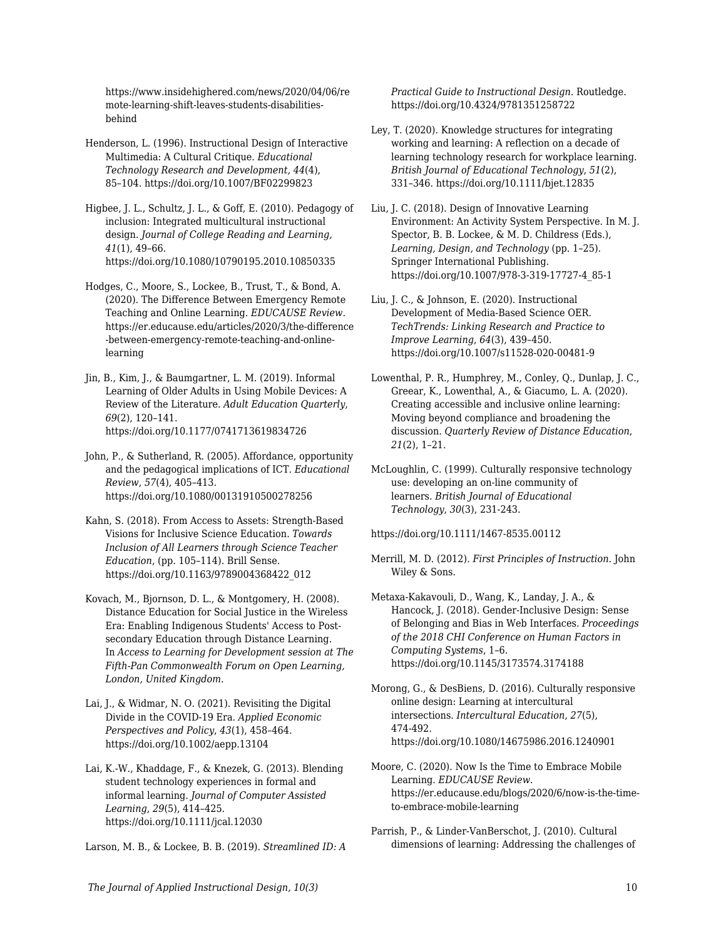https://www.insidehighered.com/news/2020/04/06/re mote-learning-shift-leaves-students-disabilitiesbehind

Henderson, L. (1996). Instructional Design of Interactive Multimedia: A Cultural Critique. *Educational Technology Research and Development, 44*(4), 85–104. https://doi.org/10.1007/BF02299823

Higbee, J. L., Schultz, J. L., & Goff, E. (2010). Pedagogy of inclusion: Integrated multicultural instructional design. *Journal of College Reading and Learning, 41*(1), 49–66. https://doi.org/10.1080/10790195.2010.10850335

Hodges, C., Moore, S., Lockee, B., Trust, T., & Bond, A. (2020). The Difference Between Emergency Remote Teaching and Online Learning. *EDUCAUSE Review.* https://er.educause.edu/articles/2020/3/the-difference -between-emergency-remote-teaching-and-onlinelearning

Jin, B., Kim, J., & Baumgartner, L. M. (2019). Informal Learning of Older Adults in Using Mobile Devices: A Review of the Literature. *Adult Education Quarterly*, *69*(2), 120–141. https://doi.org/10.1177/0741713619834726

John, P., & Sutherland, R. (2005). Affordance, opportunity and the pedagogical implications of ICT. *Educational Review*, *57*(4), 405–413. https://doi.org/10.1080/00131910500278256

Kahn, S. (2018). From Access to Assets: Strength-Based Visions for Inclusive Science Education. *Towards Inclusion of All Learners through Science Teacher Education*, (pp. 105–114). Brill Sense. https://doi.org/10.1163/9789004368422\_012

Kovach, M., Bjornson, D. L., & Montgomery, H. (2008). Distance Education for Social Justice in the Wireless Era: Enabling Indigenous Students' Access to Postsecondary Education through Distance Learning. In *Access to Learning for Development session at The Fifth-Pan Commonwealth Forum on Open Learning, London, United Kingdom*.

Lai, J., & Widmar, N. O. (2021). Revisiting the Digital Divide in the COVID-19 Era. *Applied Economic Perspectives and Policy*, *43*(1), 458–464. https://doi.org/10.1002/aepp.13104

Lai, K.-W., Khaddage, F., & Knezek, G. (2013). Blending student technology experiences in formal and informal learning. *Journal of Computer Assisted Learning*, *29*(5), 414–425. https://doi.org/10.1111/jcal.12030

Larson, M. B., & Lockee, B. B. (2019). *Streamlined ID: A*

*Practical Guide to Instructional Design*. Routledge. https://doi.org/10.4324/9781351258722

Ley, T. (2020). Knowledge structures for integrating working and learning: A reflection on a decade of learning technology research for workplace learning. *British Journal of Educational Technology*, *51*(2), 331–346. https://doi.org/10.1111/bjet.12835

Liu, J. C. (2018). Design of Innovative Learning Environment: An Activity System Perspective. In M. J. Spector, B. B. Lockee, & M. D. Childress (Eds.), *Learning, Design, and Technology* (pp. 1–25). Springer International Publishing. https://doi.org/10.1007/978-3-319-17727-4\_85-1

Liu, J. C., & Johnson, E. (2020). Instructional Development of Media-Based Science OER. *TechTrends: Linking Research and Practice to Improve Learning*, *64*(3), 439–450. https://doi.org/10.1007/s11528-020-00481-9

Lowenthal, P. R., Humphrey, M., Conley, Q., Dunlap, J. C., Greear, K., Lowenthal, A., & Giacumo, L. A. (2020). Creating accessible and inclusive online learning: Moving beyond compliance and broadening the discussion. *Quarterly Review of Distance Education*, *21*(2), 1–21.

McLoughlin, C. (1999). Culturally responsive technology use: developing an on‐line community of learners. *British Journal of Educational Technology*, *30*(3), 231-243.

https://doi.org/10.1111/1467-8535.00112

Merrill, M. D. (2012). *First Principles of Instruction*. John Wiley & Sons.

Metaxa-Kakavouli, D., Wang, K., Landay, J. A., & Hancock, J. (2018). Gender-Inclusive Design: Sense of Belonging and Bias in Web Interfaces. *Proceedings of the 2018 CHI Conference on Human Factors in Computing Systems*, 1–6. https://doi.org/10.1145/3173574.3174188

Morong, G., & DesBiens, D. (2016). Culturally responsive online design: Learning at intercultural intersections. *Intercultural Education*, *27*(5), 474-492. https://doi.org/10.1080/14675986.2016.1240901

Moore, C. (2020). Now Is the Time to Embrace Mobile Learning. *EDUCAUSE Review*. https://er.educause.edu/blogs/2020/6/now-is-the-timeto-embrace-mobile-learning

Parrish, P., & Linder-VanBerschot, J. (2010). Cultural dimensions of learning: Addressing the challenges of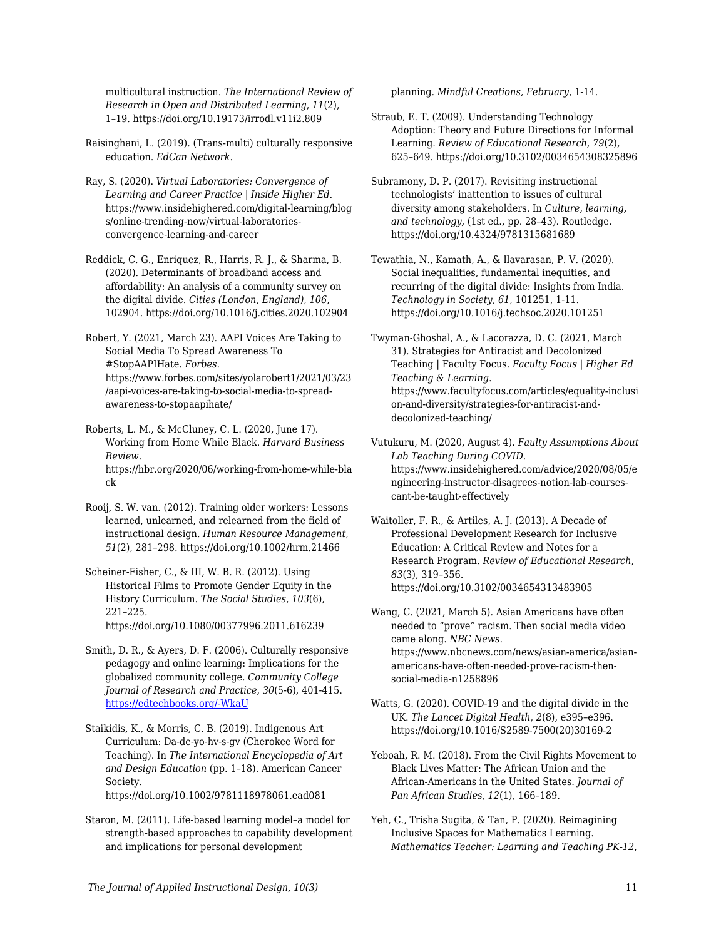multicultural instruction. *The International Review of Research in Open and Distributed Learning*, *11*(2), 1–19. https://doi.org/10.19173/irrodl.v11i2.809

Raisinghani, L. (2019). (Trans-multi) culturally responsive education. *EdCan Network*.

Ray, S. (2020). *Virtual Laboratories: Convergence of Learning and Career Practice | Inside Higher Ed*. https://www.insidehighered.com/digital-learning/blog s/online-trending-now/virtual-laboratoriesconvergence-learning-and-career

Reddick, C. G., Enriquez, R., Harris, R. J., & Sharma, B. (2020). Determinants of broadband access and affordability: An analysis of a community survey on the digital divide. *Cities (London, England)*, *106*, 102904. https://doi.org/10.1016/j.cities.2020.102904

Robert, Y. (2021, March 23). AAPI Voices Are Taking to Social Media To Spread Awareness To #StopAAPIHate. *Forbes*. https://www.forbes.com/sites/yolarobert1/2021/03/23 /aapi-voices-are-taking-to-social-media-to-spreadawareness-to-stopaapihate/

Roberts, L. M., & McCluney, C. L. (2020, June 17). Working from Home While Black. *Harvard Business Review*. https://hbr.org/2020/06/working-from-home-while-bla ck

Rooij, S. W. van. (2012). Training older workers: Lessons learned, unlearned, and relearned from the field of instructional design. *Human Resource Management*, *51*(2), 281–298. https://doi.org/10.1002/hrm.21466

Scheiner-Fisher, C., & III, W. B. R. (2012). Using Historical Films to Promote Gender Equity in the History Curriculum. *The Social Studies*, *103*(6), 221–225. https://doi.org/10.1080/00377996.2011.616239

Smith, D. R., & Ayers, D. F. (2006). Culturally responsive pedagogy and online learning: Implications for the globalized community college. *Community College Journal of Research and Practice*, *30*(5-6), 401-415. [https://edtechbooks.org/-WkaU](https://doi.org/10.1080/10668920500442125)

Staikidis, K., & Morris, C. B. (2019). Indigenous Art Curriculum: Da-de-yo-hv-s-gv (Cherokee Word for Teaching). In *The International Encyclopedia of Art and Design Education* (pp. 1–18). American Cancer Society. https://doi.org/10.1002/9781118978061.ead081

Staron, M. (2011). Life-based learning model–a model for strength-based approaches to capability development and implications for personal development

planning. *Mindful Creations, February*, 1-14.

Straub, E. T. (2009). Understanding Technology Adoption: Theory and Future Directions for Informal Learning. *Review of Educational Research*, *79*(2), 625–649. https://doi.org/10.3102/0034654308325896

Subramony, D. P. (2017). Revisiting instructional technologists' inattention to issues of cultural diversity among stakeholders. In *Culture, learning, and technology,* (1st ed., pp. 28–43). Routledge. https://doi.org/10.4324/9781315681689

Tewathia, N., Kamath, A., & Ilavarasan, P. V. (2020). Social inequalities, fundamental inequities, and recurring of the digital divide: Insights from India. *Technology in Society*, *61*, 101251, 1-11. https://doi.org/10.1016/j.techsoc.2020.101251

Twyman-Ghoshal, A., & Lacorazza, D. C. (2021, March 31). Strategies for Antiracist and Decolonized Teaching | Faculty Focus. *Faculty Focus | Higher Ed Teaching & Learning*. https://www.facultyfocus.com/articles/equality-inclusi on-and-diversity/strategies-for-antiracist-anddecolonized-teaching/

Vutukuru, M. (2020, August 4). *Faulty Assumptions About Lab Teaching During COVID*. https://www.insidehighered.com/advice/2020/08/05/e ngineering-instructor-disagrees-notion-lab-coursescant-be-taught-effectively

Waitoller, F. R., & Artiles, A. J. (2013). A Decade of Professional Development Research for Inclusive Education: A Critical Review and Notes for a Research Program. *Review of Educational Research*, *83*(3), 319–356. https://doi.org/10.3102/0034654313483905

Wang, C. (2021, March 5). Asian Americans have often needed to "prove" racism. Then social media video came along. *NBC News*. https://www.nbcnews.com/news/asian-america/asianamericans-have-often-needed-prove-racism-thensocial-media-n1258896

Watts, G. (2020). COVID-19 and the digital divide in the UK. *The Lancet Digital Health*, *2*(8), e395–e396. https://doi.org/10.1016/S2589-7500(20)30169-2

Yeboah, R. M. (2018). From the Civil Rights Movement to Black Lives Matter: The African Union and the African-Americans in the United States. *Journal of Pan African Studies*, *12*(1), 166–189.

Yeh, C., Trisha Sugita, & Tan, P. (2020). Reimagining Inclusive Spaces for Mathematics Learning. *Mathematics Teacher: Learning and Teaching PK-12*,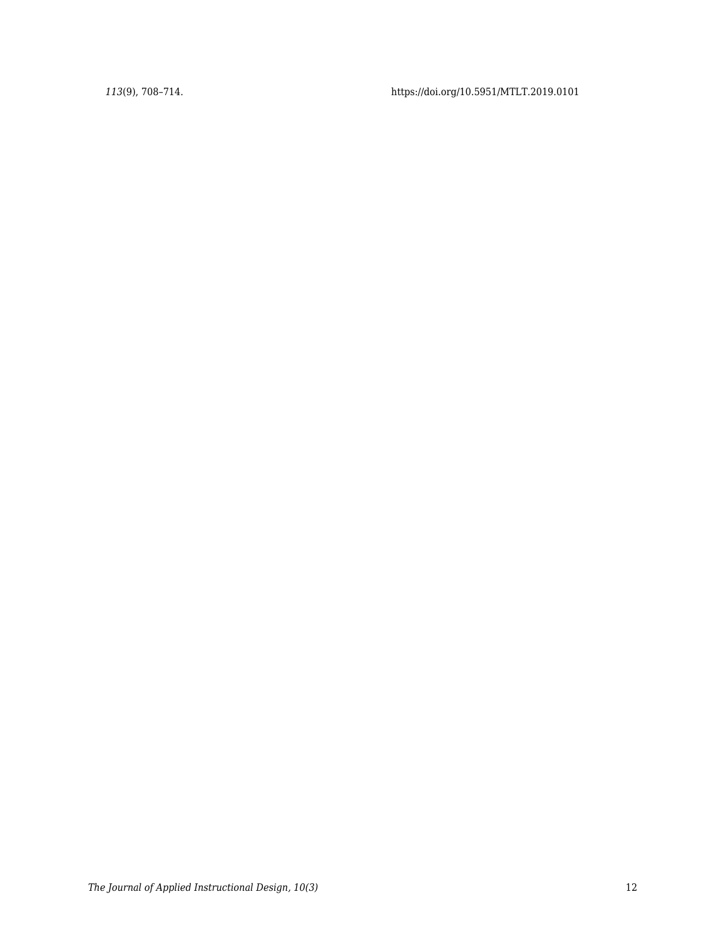*113*(9), 708–714. https://doi.org/10.5951/MTLT.2019.0101